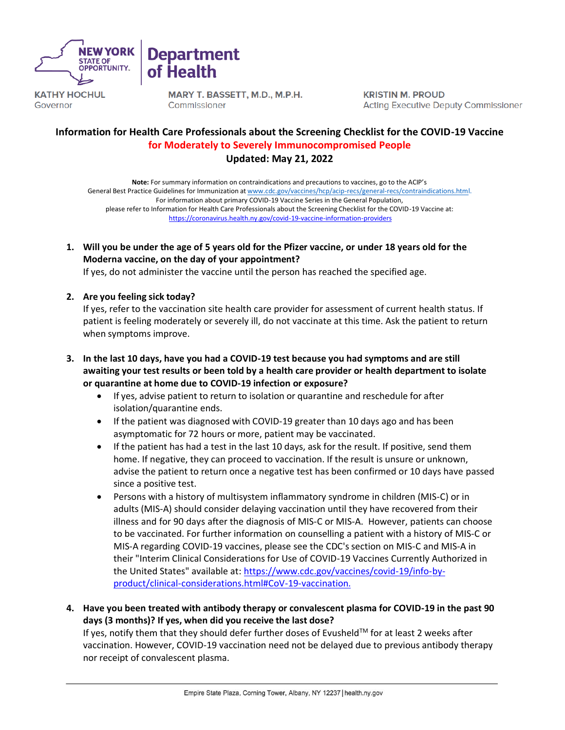



MARY T. BASSETT, M.D., M.P.H. Commissioner

**KRISTIN M. PROUD Acting Executive Deputy Commissioner** 

# **Information for Health Care Professionals about the Screening Checklist for the COVID-19 Vaccine for Moderately to Severely Immunocompromised People Updated: May 21, 2022**

**Note:** For summary information on contraindications and precautions to vaccines, go to the ACIP's General Best Practice Guidelines for Immunization at [www.cdc.gov/vaccines/hcp/acip-recs/general-recs/contraindications.html.](http://www.cdc.gov/vaccines/hcp/acip-recs/general-recs/contraindications.html) For information about primary COVID-19 Vaccine Series in the General Population, please refer to Information for Health Care Professionals about the Screening Checklist for the COVID-19 Vaccine at: <https://coronavirus.health.ny.gov/covid-19-vaccine-information-providers>

**1. Will you be under the age of 5 years old for the Pfizer vaccine, or under 18 years old for the Moderna vaccine, on the day of your appointment?** 

If yes, do not administer the vaccine until the person has reached the specified age.

#### **2. Are you feeling sick today?**

If yes, refer to the vaccination site health care provider for assessment of current health status. If patient is feeling moderately or severely ill, do not vaccinate at this time. Ask the patient to return when symptoms improve.

- **3. In the last 10 days, have you had a COVID-19 test because you had symptoms and are still awaiting your test results or been told by a health care provider or health department to isolate or quarantine at home due to COVID-19 infection or exposure?**
	- If yes, advise patient to return to isolation or quarantine and reschedule for after isolation/quarantine ends.
	- If the patient was diagnosed with COVID-19 greater than 10 days ago and has been asymptomatic for 72 hours or more, patient may be vaccinated.
	- If the patient has had a test in the last 10 days, ask for the result. If positive, send them home. If negative, they can proceed to vaccination. If the result is unsure or unknown, advise the patient to return once a negative test has been confirmed or 10 days have passed since a positive test.
	- Persons with a history of multisystem inflammatory syndrome in children (MIS-C) or in adults (MIS-A) should consider delaying vaccination until they have recovered from their illness and for 90 days after the diagnosis of MIS-C or MIS-A. However, patients can choose to be vaccinated. For further information on counselling a patient with a history of MIS-C or MIS-A regarding COVID-19 vaccines, please see the CDC's section on MIS-C and MIS-A in their "Interim Clinical Considerations for Use of COVID-19 Vaccines Currently Authorized in the United States" available at: [https://www.cdc.gov/vaccines/covid-19/info-by](https://www.cdc.gov/vaccines/covid-19/info-by-product/clinical-considerations.html#CoV-19-vaccination)[product/clinical-considerations.html#CoV-19-vaccination.](https://www.cdc.gov/vaccines/covid-19/info-by-product/clinical-considerations.html#CoV-19-vaccination)
- **4. Have you been treated with antibody therapy or convalescent plasma for COVID-19 in the past 90 days (3 months)? If yes, when did you receive the last dose?**

If yes, notify them that they should defer further doses of Evusheld™ for at least 2 weeks after vaccination. However, COVID-19 vaccination need not be delayed due to previous antibody therapy nor receipt of convalescent plasma.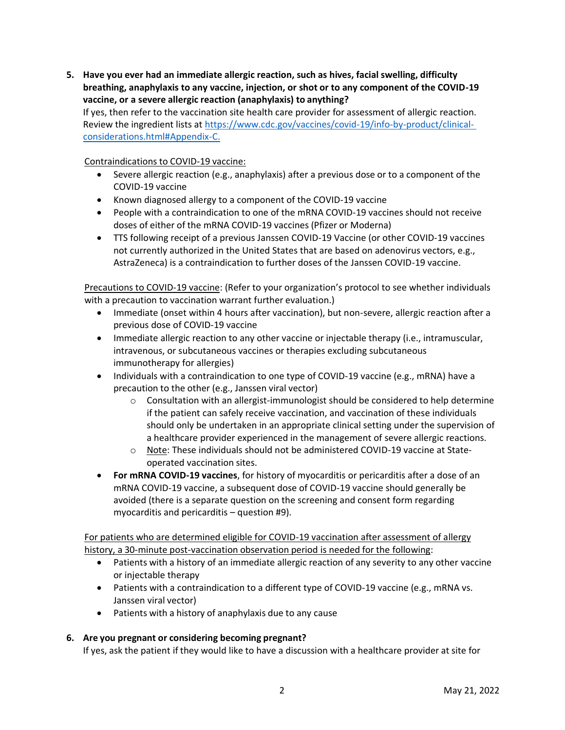**5. Have you ever had an immediate allergic reaction, such as hives, facial swelling, difficulty breathing, anaphylaxis to any vaccine, injection, or shot or to any component of the COVID-19 vaccine, or a severe allergic reaction (anaphylaxis) to anything?**

If yes, then refer to the vaccination site health care provider for assessment of allergic reaction. Review the ingredient lists at [https://www.cdc.gov/vaccines/covid-19/info-by-product/clinical](https://www.cdc.gov/vaccines/covid-19/info-by-product/clinical-considerations.html#Appendix-C)[considerations.html#Appendix-C.](https://www.cdc.gov/vaccines/covid-19/info-by-product/clinical-considerations.html#Appendix-C)

Contraindications to COVID-19 vaccine:

- Severe allergic reaction (e.g., anaphylaxis) after a previous dose or to a component of the COVID-19 vaccine
- Known diagnosed allergy to a component of the COVID-19 vaccine
- People with a contraindication to one of the mRNA COVID-19 vaccines should not receive doses of either of the mRNA COVID-19 vaccines (Pfizer or Moderna)
- TTS following receipt of a previous Janssen COVID-19 Vaccine (or other COVID-19 vaccines not currently authorized in the United States that are based on adenovirus vectors, e.g., AstraZeneca) is a contraindication to further doses of the Janssen COVID-19 vaccine.

Precautions to COVID-19 vaccine: (Refer to your organization's protocol to see whether individuals with a precaution to vaccination warrant further evaluation.)

- Immediate (onset within 4 hours after vaccination), but non-severe, allergic reaction after a previous dose of COVID-19 vaccine
- Immediate allergic reaction to any other vaccine or injectable therapy (i.e., intramuscular, intravenous, or subcutaneous vaccines or therapies excluding subcutaneous immunotherapy for allergies)
- Individuals with a contraindication to one type of COVID-19 vaccine (e.g., mRNA) have a precaution to the other (e.g., Janssen viral vector)
	- $\circ$  Consultation with an allergist-immunologist should be considered to help determine if the patient can safely receive vaccination, and vaccination of these individuals should only be undertaken in an appropriate clinical setting under the supervision of a healthcare provider experienced in the management of severe allergic reactions.
	- o Note: These individuals should not be administered COVID-19 vaccine at Stateoperated vaccination sites.
- **For mRNA COVID-19 vaccines**, for history of myocarditis or pericarditis after a dose of an mRNA COVID-19 vaccine, a subsequent dose of COVID-19 vaccine should generally be avoided (there is a separate question on the screening and consent form regarding myocarditis and pericarditis – question #9).

For patients who are determined eligible for COVID-19 vaccination after assessment of allergy history, a 30-minute post-vaccination observation period is needed for the following:

- Patients with a history of an immediate allergic reaction of any severity to any other vaccine or injectable therapy
- Patients with a contraindication to a different type of COVID-19 vaccine (e.g., mRNA vs. Janssen viral vector)
- Patients with a history of anaphylaxis due to any cause

# **6. Are you pregnant or considering becoming pregnant?**

If yes, ask the patient if they would like to have a discussion with a healthcare provider at site for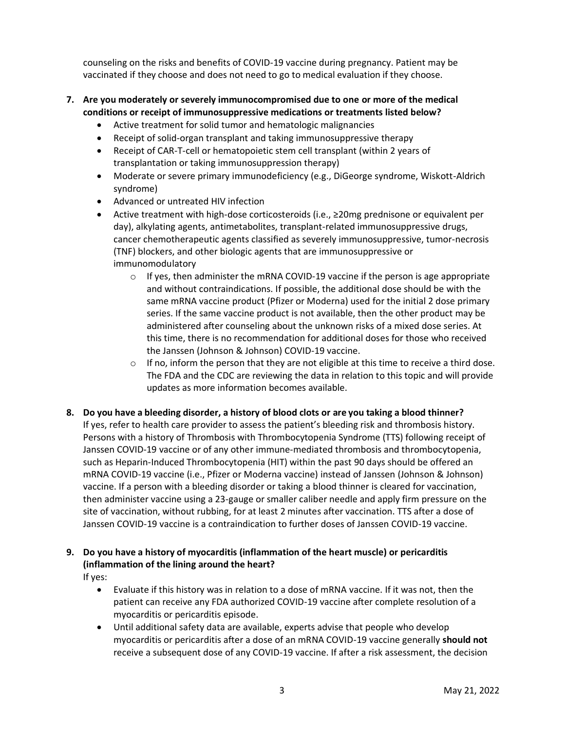counseling on the risks and benefits of COVID-19 vaccine during pregnancy. Patient may be vaccinated if they choose and does not need to go to medical evaluation if they choose.

- **7. Are you moderately or severely immunocompromised due to one or more of the medical conditions or receipt of immunosuppressive medications or treatments listed below?**
	- Active treatment for solid tumor and hematologic malignancies
	- Receipt of solid-organ transplant and taking immunosuppressive therapy
	- Receipt of CAR-T-cell or hematopoietic stem cell transplant (within 2 years of transplantation or taking immunosuppression therapy)
	- Moderate or severe primary immunodeficiency (e.g., DiGeorge syndrome, Wiskott-Aldrich syndrome)
	- Advanced or untreated HIV infection
	- Active treatment with high-dose corticosteroids (i.e., ≥20mg prednisone or equivalent per day), alkylating agents, antimetabolites, transplant-related immunosuppressive drugs, cancer chemotherapeutic agents classified as severely immunosuppressive, tumor-necrosis (TNF) blockers, and other biologic agents that are immunosuppressive or immunomodulatory
		- $\circ$  If yes, then administer the mRNA COVID-19 vaccine if the person is age appropriate and without contraindications. If possible, the additional dose should be with the same mRNA vaccine product (Pfizer or Moderna) used for the initial 2 dose primary series. If the same vaccine product is not available, then the other product may be administered after counseling about the unknown risks of a mixed dose series. At this time, there is no recommendation for additional doses for those who received the Janssen (Johnson & Johnson) COVID-19 vaccine.
		- $\circ$  If no, inform the person that they are not eligible at this time to receive a third dose. The FDA and the CDC are reviewing the data in relation to this topic and will provide updates as more information becomes available.
- **8. Do you have a bleeding disorder, a history of blood clots or are you taking a blood thinner?** If yes, refer to health care provider to assess the patient's bleeding risk and thrombosis history. Persons with a history of Thrombosis with Thrombocytopenia Syndrome (TTS) following receipt of Janssen COVID-19 vaccine or of any other immune-mediated thrombosis and thrombocytopenia, such as Heparin-Induced Thrombocytopenia (HIT) within the past 90 days should be offered an mRNA COVID-19 vaccine (i.e., Pfizer or Moderna vaccine) instead of Janssen (Johnson & Johnson) vaccine. If a person with a bleeding disorder or taking a blood thinner is cleared for vaccination, then administer vaccine using a 23-gauge or smaller caliber needle and apply firm pressure on the site of vaccination, without rubbing, for at least 2 minutes after vaccination. TTS after a dose of Janssen COVID-19 vaccine is a contraindication to further doses of Janssen COVID-19 vaccine.

# **9. Do you have a history of myocarditis (inflammation of the heart muscle) or pericarditis (inflammation of the lining around the heart?**

If yes:

- Evaluate if this history was in relation to a dose of mRNA vaccine. If it was not, then the patient can receive any FDA authorized COVID-19 vaccine after complete resolution of a myocarditis or pericarditis episode.
- Until additional safety data are available, experts advise that people who develop myocarditis or pericarditis after a dose of an mRNA COVID-19 vaccine generally **should not** receive a subsequent dose of any COVID-19 vaccine. If after a risk assessment, the decision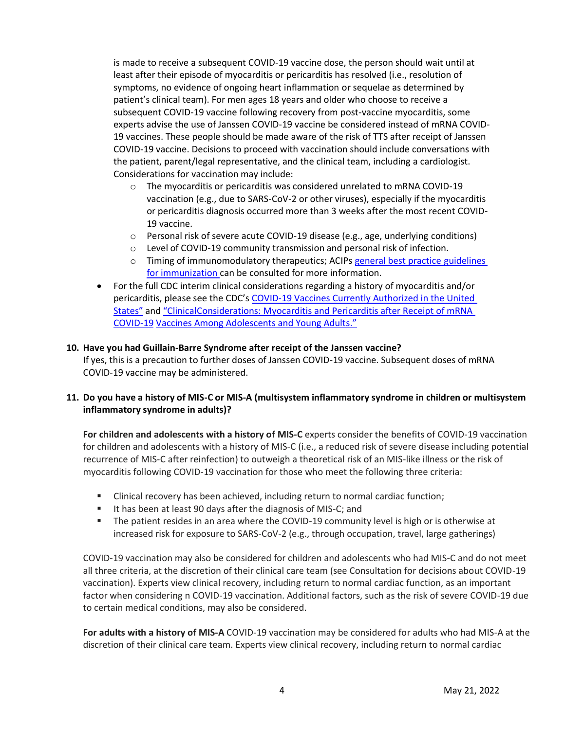is made to receive a subsequent COVID-19 vaccine dose, the person should wait until at least after their episode of myocarditis or pericarditis has resolved (i.e., resolution of symptoms, no evidence of ongoing heart inflammation or sequelae as determined by patient's clinical team). For men ages 18 years and older who choose to receive a subsequent COVID-19 vaccine following recovery from post-vaccine myocarditis, some experts advise the use of Janssen COVID-19 vaccine be considered instead of mRNA COVID-19 vaccines. These people should be made aware of the risk of TTS after receipt of Janssen COVID-19 vaccine. Decisions to proceed with vaccination should include conversations with the patient, parent/legal representative, and the clinical team, including a cardiologist. Considerations for vaccination may include:

- $\circ$  The myocarditis or pericarditis was considered unrelated to mRNA COVID-19 vaccination (e.g., due to SARS-CoV-2 or other viruses), especially if the myocarditis or pericarditis diagnosis occurred more than 3 weeks after the most recent COVID-19 vaccine.
- o Personal risk of severe acute COVID-19 disease (e.g., age, underlying conditions)
- o Level of COVID-19 community transmission and personal risk of infection.
- $\circ$  Timing of immunomodulatory therapeutics; ACIPs [general best practice](https://www.cdc.gov/vaccines/hcp/acip-recs/general-recs/index.html) [guidelines](https://www.cdc.gov/vaccines/hcp/acip-recs/general-recs/index.html) for [immunization](https://www.cdc.gov/vaccines/hcp/acip-recs/general-recs/index.html) can be consulted for more information.
- For the full CDC interim clinical considerations regarding a history of myocarditis and/or pericarditis, please see the CDC's COVID-19 Vaccines Currently Authorized in the United States" and "ClinicalConsiderations: Myocarditis and Pericarditis after Receipt of mRNA COVID-19 Vaccines Among Adolescents and Young Adults."

#### **10. Have you had Guillain-Barre Syndrome after receipt of the Janssen vaccine?**

If yes, this is a precaution to further doses of Janssen COVID-19 vaccine. Subsequent doses of mRNA COVID-19 vaccine may be administered.

# **11. Do you have a history of MIS-C or MIS-A (multisystem inflammatory syndrome in children or multisystem inflammatory syndrome in adults)?**

**For children and adolescents with a history of MIS-C** experts consider the benefits of COVID-19 vaccination for children and adolescents with a history of MIS-C (i.e., a reduced risk of severe disease including potential recurrence of MIS-C after reinfection) to outweigh a theoretical risk of an MIS-like illness or the risk of myocarditis following COVID-19 vaccination for those who meet the following three criteria:

- Clinical recovery has been achieved, including return to normal cardiac function;
- It has been at least 90 days after the diagnosis of MIS-C; and
- The patient resides in an area where the COVID-19 community level is high or is otherwise at increased risk for exposure to SARS-CoV-2 (e.g., through occupation, travel, large gatherings)

COVID-19 vaccination may also be considered for children and adolescents who had MIS-C and do not meet all three criteria, at the discretion of their clinical care team (see Consultation for decisions about COVID-19 vaccination). Experts view clinical recovery, including return to normal cardiac function, as an important factor when considering n COVID-19 vaccination. Additional factors, such as the risk of severe COVID-19 due to certain medical conditions, may also be considered.

**For adults with a history of MIS-A** COVID-19 vaccination may be considered for adults who had MIS-A at the discretion of their clinical care team. Experts view clinical recovery, including return to normal cardiac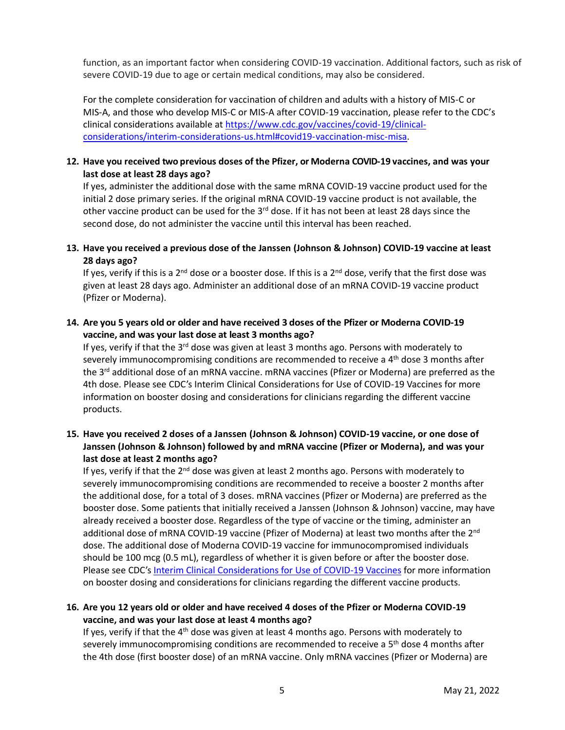function, as an important factor when considering COVID-19 vaccination. Additional factors, such as risk of severe COVID-19 due to age or certain medical conditions, may also be considered.

For the complete consideration for vaccination of children and adults with a history of MIS-C or MIS-A, and those who develop MIS-C or MIS-A after COVID-19 vaccination, please refer to the CDC's clinical considerations available at [https://www.cdc.gov/vaccines/covid-19/clinical](https://www.cdc.gov/vaccines/covid-19/clinical-considerations/interim-considerations-us.html#covid19-vaccination-misc-misa)[considerations/interim-considerations-us.html#covid19-vaccination-misc-misa.](https://www.cdc.gov/vaccines/covid-19/clinical-considerations/interim-considerations-us.html#covid19-vaccination-misc-misa)

#### **12. Have you received two previous doses of the Pfizer, or Moderna COVID-19 vaccines, and was your last dose at least 28 days ago?**

If yes, administer the additional dose with the same mRNA COVID-19 vaccine product used for the initial 2 dose primary series. If the original mRNA COVID-19 vaccine product is not available, the other vaccine product can be used for the 3<sup>rd</sup> dose. If it has not been at least 28 days since the second dose, do not administer the vaccine until this interval has been reached.

## **13. Have you received a previous dose of the Janssen (Johnson & Johnson) COVID-19 vaccine at least 28 days ago?**

If yes, verify if this is a 2<sup>nd</sup> dose or a booster dose. If this is a 2<sup>nd</sup> dose, verify that the first dose was given at least 28 days ago. Administer an additional dose of an mRNA COVID-19 vaccine product (Pfizer or Moderna).

#### **14. Are you 5 years old or older and have received 3 doses of the Pfizer or Moderna COVID-19 vaccine, and was your last dose at least 3 months ago?**

If yes, verify if that the  $3^{rd}$  dose was given at least 3 months ago. Persons with moderately to severely immunocompromising conditions are recommended to receive a 4<sup>th</sup> dose 3 months after the 3<sup>rd</sup> additional dose of an mRNA vaccine. mRNA vaccines (Pfizer or Moderna) are preferred as the 4th dose. Please see CDC's Interim Clinical Considerations for Use of COVID-19 Vaccines for more information on booster dosing and considerations for clinicians regarding the different vaccine products.

## **15. Have you received 2 doses of a Janssen (Johnson & Johnson) COVID-19 vaccine, or one dose of Janssen (Johnson & Johnson) followed by and mRNA vaccine (Pfizer or Moderna), and was your last dose at least 2 months ago?**

If yes, verify if that the  $2^{nd}$  dose was given at least 2 months ago. Persons with moderately to severely immunocompromising conditions are recommended to receive a booster 2 months after the additional dose, for a total of 3 doses. mRNA vaccines (Pfizer or Moderna) are preferred as the booster dose. Some patients that initially received a Janssen (Johnson & Johnson) vaccine, may have already received a booster dose. Regardless of the type of vaccine or the timing, administer an additional dose of mRNA COVID-19 vaccine (Pfizer of Moderna) at least two months after the 2<sup>nd</sup> dose. The additional dose of Moderna COVID-19 vaccine for immunocompromised individuals should be 100 mcg (0.5 mL), regardless of whether it is given before or after the booster dose. Please see CDC's [Interim Clinical Considerations for Use of COVID-19 Vaccines](https://www.cdc.gov/vaccines/covid-19/clinical-considerations/covid-19-vaccines-us.html) for more information on booster dosing and considerations for clinicians regarding the different vaccine products.

## **16. Are you 12 years old or older and have received 4 doses of the Pfizer or Moderna COVID-19 vaccine, and was your last dose at least 4 months ago?**

If yes, verify if that the 4<sup>th</sup> dose was given at least 4 months ago. Persons with moderately to severely immunocompromising conditions are recommended to receive a 5<sup>th</sup> dose 4 months after the 4th dose (first booster dose) of an mRNA vaccine. Only mRNA vaccines (Pfizer or Moderna) are